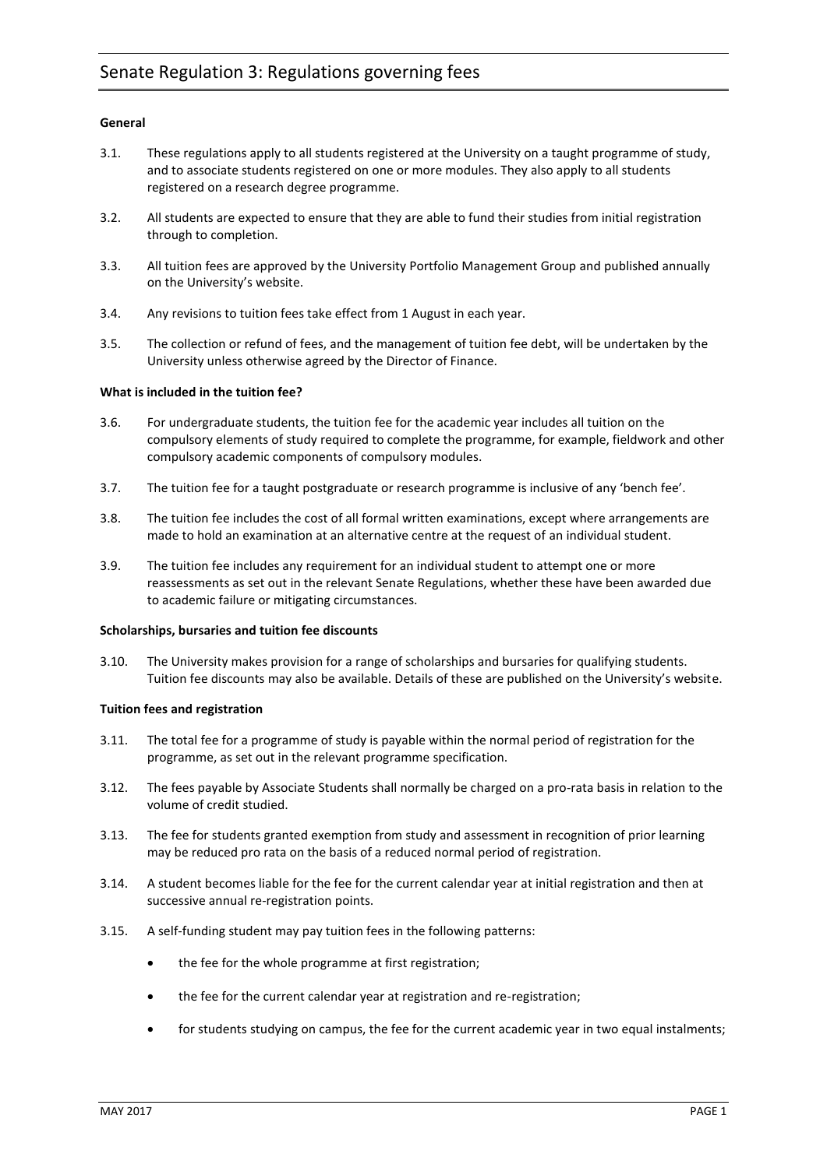# **General**

- 3.1. These regulations apply to all students registered at the University on a taught programme of study, and to associate students registered on one or more modules. They also apply to all students registered on a research degree programme.
- 3.2. All students are expected to ensure that they are able to fund their studies from initial registration through to completion.
- 3.3. All tuition fees are approved by the University Portfolio Management Group and published annually on the University's website.
- 3.4. Any revisions to tuition fees take effect from 1 August in each year.
- 3.5. The collection or refund of fees, and the management of tuition fee debt, will be undertaken by the University unless otherwise agreed by the Director of Finance.

## **What is included in the tuition fee?**

- 3.6. For undergraduate students, the tuition fee for the academic year includes all tuition on the compulsory elements of study required to complete the programme, for example, fieldwork and other compulsory academic components of compulsory modules.
- 3.7. The tuition fee for a taught postgraduate or research programme is inclusive of any 'bench fee'.
- 3.8. The tuition fee includes the cost of all formal written examinations, except where arrangements are made to hold an examination at an alternative centre at the request of an individual student.
- 3.9. The tuition fee includes any requirement for an individual student to attempt one or more reassessments as set out in the relevant Senate Regulations, whether these have been awarded due to academic failure or mitigating circumstances.

## **Scholarships, bursaries and tuition fee discounts**

3.10. The University makes provision for a range of scholarships and bursaries for qualifying students. Tuition fee discounts may also be available. Details of these are published on the University's website.

## **Tuition fees and registration**

- 3.11. The total fee for a programme of study is payable within the normal period of registration for the programme, as set out in the relevant programme specification.
- 3.12. The fees payable by Associate Students shall normally be charged on a pro-rata basis in relation to the volume of credit studied.
- 3.13. The fee for students granted exemption from study and assessment in recognition of prior learning may be reduced pro rata on the basis of a reduced normal period of registration.
- 3.14. A student becomes liable for the fee for the current calendar year at initial registration and then at successive annual re-registration points.
- 3.15. A self-funding student may pay tuition fees in the following patterns:
	- the fee for the whole programme at first registration;
	- the fee for the current calendar year at registration and re-registration;
	- for students studying on campus, the fee for the current academic year in two equal instalments;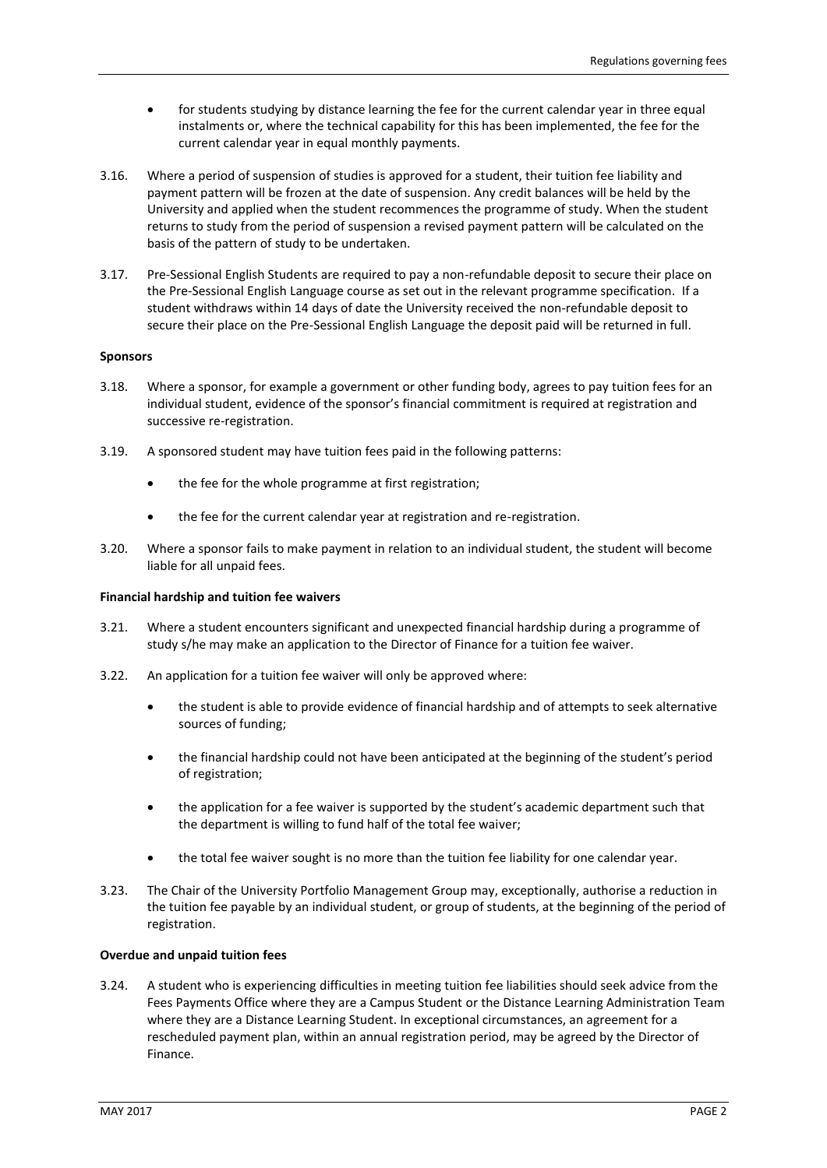- for students studying by distance learning the fee for the current calendar year in three equal instalments or, where the technical capability for this has been implemented, the fee for the current calendar year in equal monthly payments.
- 3.16. Where a period of suspension of studies is approved for a student, their tuition fee liability and payment pattern will be frozen at the date of suspension. Any credit balances will be held by the University and applied when the student recommences the programme of study. When the student returns to study from the period of suspension a revised payment pattern will be calculated on the basis of the pattern of study to be undertaken.
- 3.17. Pre-Sessional English Students are required to pay a non-refundable deposit to secure their place on the Pre-Sessional English Language course as set out in the relevant programme specification. If a student withdraws within 14 days of date the University received the non-refundable deposit to secure their place on the Pre-Sessional English Language the deposit paid will be returned in full.

## **Sponsors**

- 3.18. Where a sponsor, for example a government or other funding body, agrees to pay tuition fees for an individual student, evidence of the sponsor's financial commitment is required at registration and successive re-registration.
- 3.19. A sponsored student may have tuition fees paid in the following patterns:
	- the fee for the whole programme at first registration;
	- the fee for the current calendar year at registration and re-registration.
- 3.20. Where a sponsor fails to make payment in relation to an individual student, the student will become liable for all unpaid fees.

### **Financial hardship and tuition fee waivers**

- 3.21. Where a student encounters significant and unexpected financial hardship during a programme of study s/he may make an application to the Director of Finance for a tuition fee waiver.
- 3.22. An application for a tuition fee waiver will only be approved where:
	- the student is able to provide evidence of financial hardship and of attempts to seek alternative sources of funding;
	- the financial hardship could not have been anticipated at the beginning of the student's period of registration;
	- the application for a fee waiver is supported by the student's academic department such that the department is willing to fund half of the total fee waiver;
	- the total fee waiver sought is no more than the tuition fee liability for one calendar year.
- 3.23. The Chair of the University Portfolio Management Group may, exceptionally, authorise a reduction in the tuition fee payable by an individual student, or group of students, at the beginning of the period of registration.

### **Overdue and unpaid tuition fees**

3.24. A student who is experiencing difficulties in meeting tuition fee liabilities should seek advice from the Fees Payments Office where they are a Campus Student or the Distance Learning Administration Team where they are a Distance Learning Student. In exceptional circumstances, an agreement for a rescheduled payment plan, within an annual registration period, may be agreed by the Director of Finance.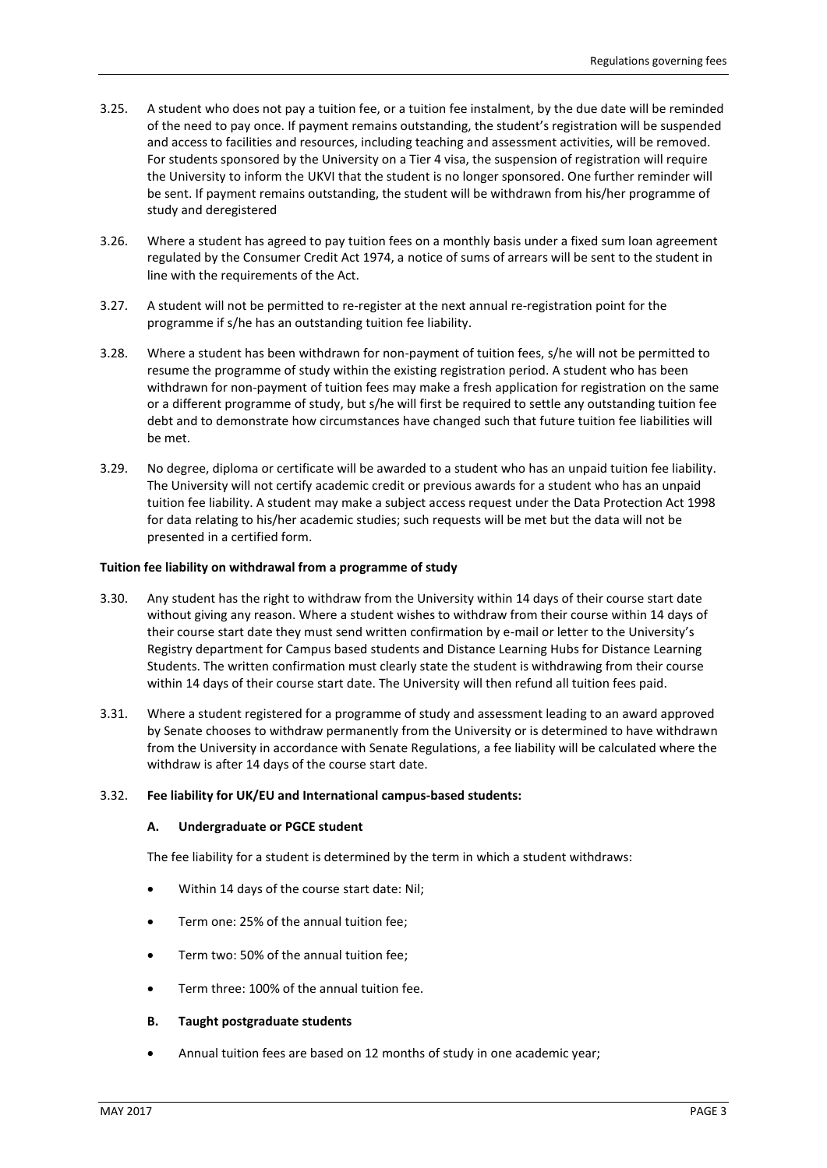- 3.25. A student who does not pay a tuition fee, or a tuition fee instalment, by the due date will be reminded of the need to pay once. If payment remains outstanding, the student's registration will be suspended and access to facilities and resources, including teaching and assessment activities, will be removed. For students sponsored by the University on a Tier 4 visa, the suspension of registration will require the University to inform the UKVI that the student is no longer sponsored. One further reminder will be sent. If payment remains outstanding, the student will be withdrawn from his/her programme of study and deregistered
- 3.26. Where a student has agreed to pay tuition fees on a monthly basis under a fixed sum loan agreement regulated by the Consumer Credit Act 1974, a notice of sums of arrears will be sent to the student in line with the requirements of the Act.
- 3.27. A student will not be permitted to re-register at the next annual re-registration point for the programme if s/he has an outstanding tuition fee liability.
- 3.28. Where a student has been withdrawn for non-payment of tuition fees, s/he will not be permitted to resume the programme of study within the existing registration period. A student who has been withdrawn for non-payment of tuition fees may make a fresh application for registration on the same or a different programme of study, but s/he will first be required to settle any outstanding tuition fee debt and to demonstrate how circumstances have changed such that future tuition fee liabilities will be met.
- 3.29. No degree, diploma or certificate will be awarded to a student who has an unpaid tuition fee liability. The University will not certify academic credit or previous awards for a student who has an unpaid tuition fee liability. A student may make a subject access request under the Data Protection Act 1998 for data relating to his/her academic studies; such requests will be met but the data will not be presented in a certified form.

### **Tuition fee liability on withdrawal from a programme of study**

- 3.30. Any student has the right to withdraw from the University within 14 days of their course start date without giving any reason. Where a student wishes to withdraw from their course within 14 days of their course start date they must send written confirmation by e-mail or letter to the University's Registry department for Campus based students and Distance Learning Hubs for Distance Learning Students. The written confirmation must clearly state the student is withdrawing from their course within 14 days of their course start date. The University will then refund all tuition fees paid.
- 3.31. Where a student registered for a programme of study and assessment leading to an award approved by Senate chooses to withdraw permanently from the University or is determined to have withdrawn from the University in accordance with Senate Regulations, a fee liability will be calculated where the withdraw is after 14 days of the course start date.

## 3.32. **Fee liability for UK/EU and International campus-based students:**

### **A. Undergraduate or PGCE student**

The fee liability for a student is determined by the term in which a student withdraws:

- Within 14 days of the course start date: Nil;
- Term one: 25% of the annual tuition fee;
- Term two: 50% of the annual tuition fee;
- Term three: 100% of the annual tuition fee.

### **B. Taught postgraduate students**

Annual tuition fees are based on 12 months of study in one academic year;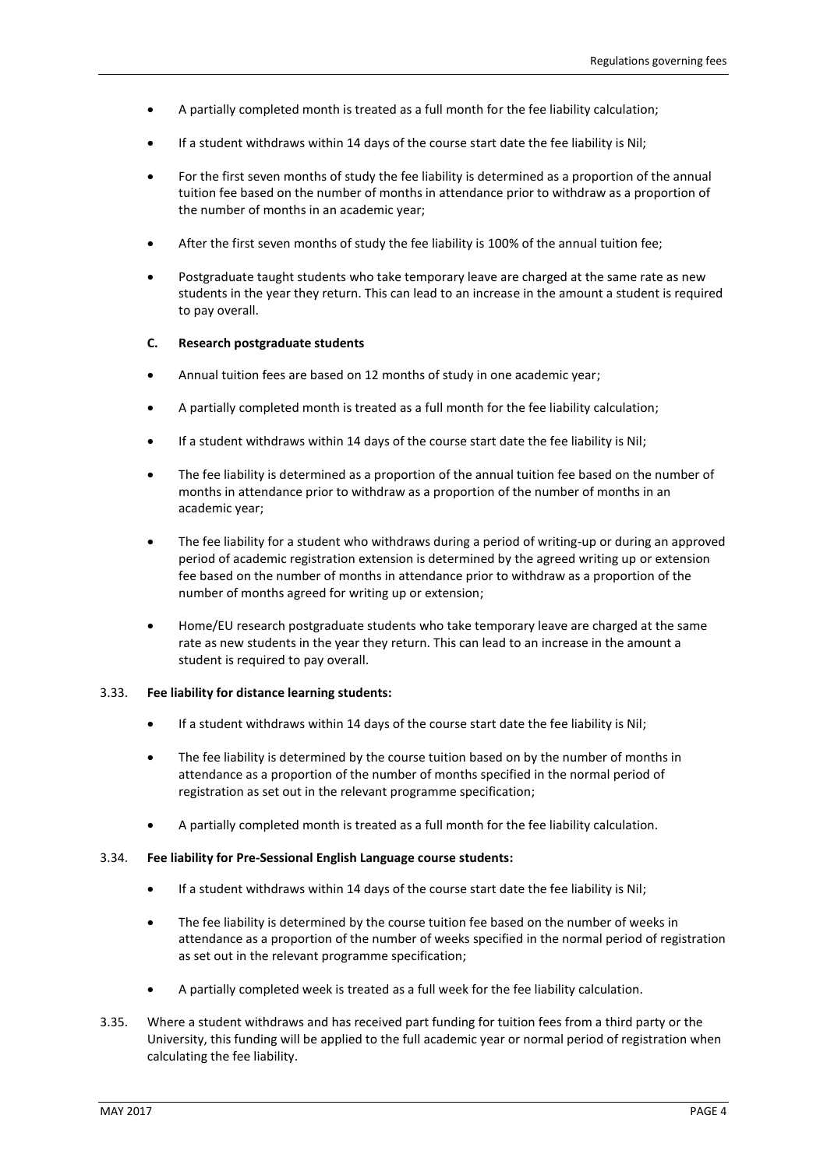- A partially completed month is treated as a full month for the fee liability calculation;
- If a student withdraws within 14 days of the course start date the fee liability is Nil;
- For the first seven months of study the fee liability is determined as a proportion of the annual tuition fee based on the number of months in attendance prior to withdraw as a proportion of the number of months in an academic year;
- After the first seven months of study the fee liability is 100% of the annual tuition fee;
- Postgraduate taught students who take temporary leave are charged at the same rate as new students in the year they return. This can lead to an increase in the amount a student is required to pay overall.

### **C. Research postgraduate students**

- Annual tuition fees are based on 12 months of study in one academic year;
- A partially completed month is treated as a full month for the fee liability calculation;
- If a student withdraws within 14 days of the course start date the fee liability is Nil;
- The fee liability is determined as a proportion of the annual tuition fee based on the number of months in attendance prior to withdraw as a proportion of the number of months in an academic year;
- The fee liability for a student who withdraws during a period of writing-up or during an approved period of academic registration extension is determined by the agreed writing up or extension fee based on the number of months in attendance prior to withdraw as a proportion of the number of months agreed for writing up or extension;
- Home/EU research postgraduate students who take temporary leave are charged at the same rate as new students in the year they return. This can lead to an increase in the amount a student is required to pay overall.

### 3.33. **Fee liability for distance learning students:**

- If a student withdraws within 14 days of the course start date the fee liability is Nil;
- The fee liability is determined by the course tuition based on by the number of months in attendance as a proportion of the number of months specified in the normal period of registration as set out in the relevant programme specification;
- A partially completed month is treated as a full month for the fee liability calculation.

## 3.34. **Fee liability for Pre-Sessional English Language course students:**

- If a student withdraws within 14 days of the course start date the fee liability is Nil;
- The fee liability is determined by the course tuition fee based on the number of weeks in attendance as a proportion of the number of weeks specified in the normal period of registration as set out in the relevant programme specification;
- A partially completed week is treated as a full week for the fee liability calculation.
- 3.35. Where a student withdraws and has received part funding for tuition fees from a third party or the University, this funding will be applied to the full academic year or normal period of registration when calculating the fee liability.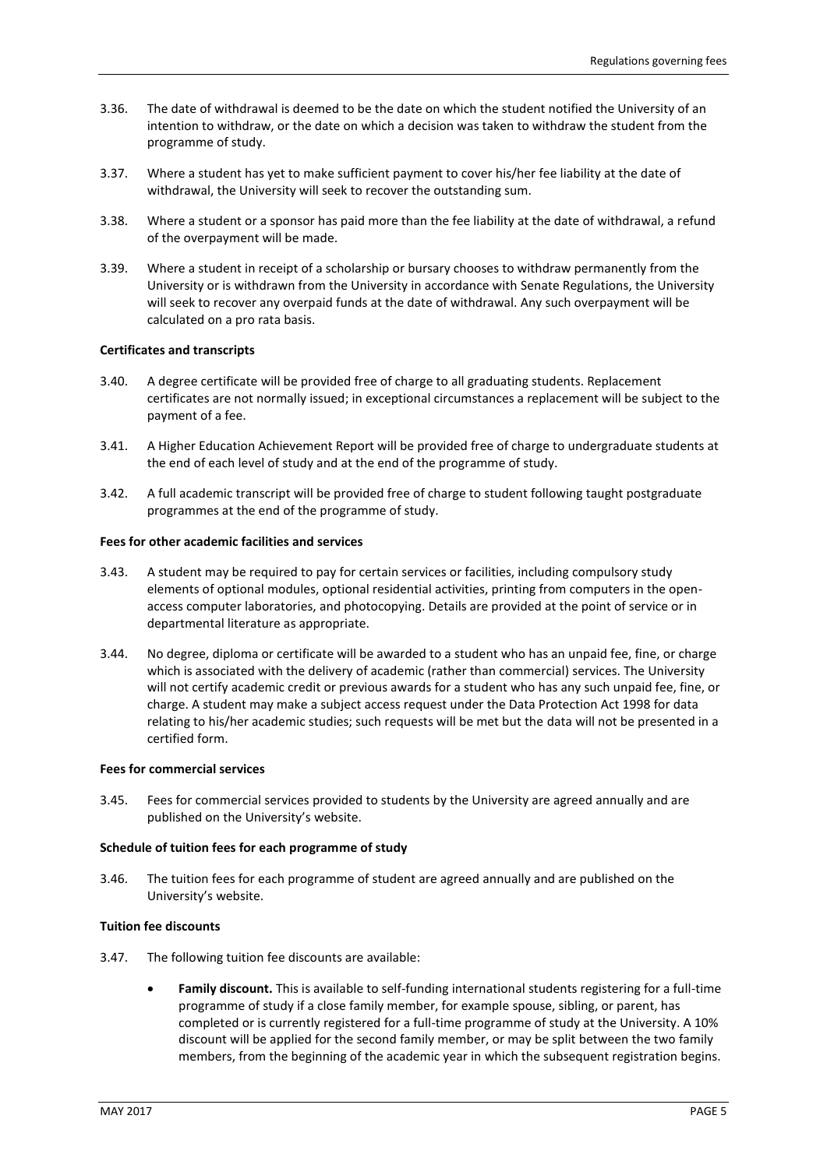- 3.36. The date of withdrawal is deemed to be the date on which the student notified the University of an intention to withdraw, or the date on which a decision was taken to withdraw the student from the programme of study.
- 3.37. Where a student has yet to make sufficient payment to cover his/her fee liability at the date of withdrawal, the University will seek to recover the outstanding sum.
- 3.38. Where a student or a sponsor has paid more than the fee liability at the date of withdrawal, a refund of the overpayment will be made.
- 3.39. Where a student in receipt of a scholarship or bursary chooses to withdraw permanently from the University or is withdrawn from the University in accordance with Senate Regulations, the University will seek to recover any overpaid funds at the date of withdrawal. Any such overpayment will be calculated on a pro rata basis.

## **Certificates and transcripts**

- 3.40. A degree certificate will be provided free of charge to all graduating students. Replacement certificates are not normally issued; in exceptional circumstances a replacement will be subject to the payment of a fee.
- 3.41. A Higher Education Achievement Report will be provided free of charge to undergraduate students at the end of each level of study and at the end of the programme of study.
- 3.42. A full academic transcript will be provided free of charge to student following taught postgraduate programmes at the end of the programme of study.

## **Fees for other academic facilities and services**

- 3.43. A student may be required to pay for certain services or facilities, including compulsory study elements of optional modules, optional residential activities, printing from computers in the openaccess computer laboratories, and photocopying. Details are provided at the point of service or in departmental literature as appropriate.
- 3.44. No degree, diploma or certificate will be awarded to a student who has an unpaid fee, fine, or charge which is associated with the delivery of academic (rather than commercial) services. The University will not certify academic credit or previous awards for a student who has any such unpaid fee, fine, or charge. A student may make a subject access request under the Data Protection Act 1998 for data relating to his/her academic studies; such requests will be met but the data will not be presented in a certified form.

## **Fees for commercial services**

3.45. Fees for commercial services provided to students by the University are agreed annually and are published on the University's website.

### **Schedule of tuition fees for each programme of study**

3.46. The tuition fees for each programme of student are agreed annually and are published on the University's website.

### **Tuition fee discounts**

- 3.47. The following tuition fee discounts are available:
	- **Family discount.** This is available to self-funding international students registering for a full-time programme of study if a close family member, for example spouse, sibling, or parent, has completed or is currently registered for a full-time programme of study at the University. A 10% discount will be applied for the second family member, or may be split between the two family members, from the beginning of the academic year in which the subsequent registration begins.